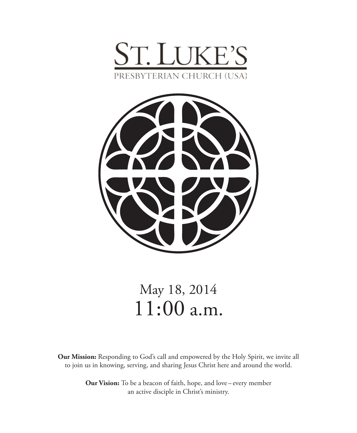



# May 18, 2014 11:00 a.m.

**Our Mission:** Responding to God's call and empowered by the Holy Spirit, we invite all to join us in knowing, serving, and sharing Jesus Christ here and around the world.

> **Our Vision:** To be a beacon of faith, hope, and love – every member an active disciple in Christ's ministry.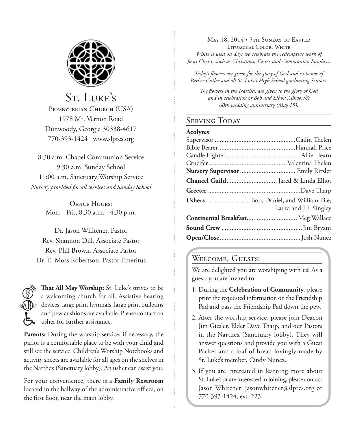

St. LUKE'S PRESBYTERIAN CHURCH (USA) 1978 Mt. Vernon Road Dunwoody, Georgia 30338-4617 770-393-1424 www.slpres.org

8:30 a.m. Chapel Communion Service 9:30 a.m. Sunday School 11:00 a.m. Sanctuary Worship Service *Nursery provided for all services and Sunday School*

> **OFFICE HOURS:** Mon. - Fri., 8:30 a.m. - 4:30 p.m.

Dr. Jason Whitener, Pastor Rev. Shannon Dill, Associate Pastor Rev. Phil Brown, Associate Pastor Dr. E. Moss Robertson, Pastor Emeritus



**That All May Worship:** St. Luke's strives to be a welcoming church for all. Assistive hearing devices, large print hymnals, large print bulletins and pew cushions are available. Please contact an usher for further assistance.

**Parents:** During the worship service, if necessary, the parlor is a comfortable place to be with your child and still see the service. Children's Worship Notebooks and activity sheets are available for all ages on the shelves in the Narthex (Sanctuary lobby). An usher can assist you.

For your convenience, there is a **Family Restroom** located in the hallway of the administrative offices, on the first floor, near the main lobby.

May 18, 2014 • 5th Sunday of Easter Liturgical Color: White *White is used on days we celebrate the redemptive work of Jesus Christ, such as Christmas, Easter and Communion Sundays.* 

*Today's flowers are given for the glory of God and in honor of Parker Cutler and all St. Luke's High School graduating Seniors.*

*The flowers in the Narthex are given to the glory of God and in celebration of Bob and Libba Ashworth's 60th wedding anniversary (May 15).*

### SERVING TODAY

| ACOIVE<br>- |
|-------------|
|-------------|

| Ushers  Bob, Daniel, and William Pile; |
|----------------------------------------|
| Laura and J.J. Singley                 |
| Continental Breakfast Meg Wallace      |
|                                        |
|                                        |
|                                        |

### WELCOME, GUESTS!

We are delighted you are worshiping with us! As a guest, you are invited to:

- 1. During the **Celebration of Community**, please print the requested information on the Friendship Pad and pass the Friendship Pad down the pew.
- 2. After the worship service, please join Deacon Jim Giesler, Elder Dave Tharp, and our Pastors in the Narthex (Sanctuary lobby). They will answer questions and provide you with a Guest Packet and a loaf of bread lovingly made by St. Luke's member, Cindy Nunez.
- 3. If you are interested in learning more about St. Luke's or are interested in joining, please contact Jason Whitener: jasonwhitener@slpres.org or 770-393-1424, ext. 223.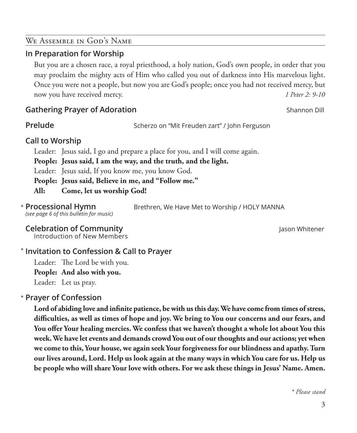### We Assemble in God's Name

### **In Preparation for Worship**

 But you are a chosen race, a royal priesthood, a holy nation, God's own people, in order that you may proclaim the mighty acts of Him who called you out of darkness into His marvelous light. Once you were not a people, but now you are God's people; once you had not received mercy, but now you have received mercy. *1 Peter 2: 9-10*

### **Gathering Prayer of Adoration** Shannon Dill

**Prelude** Scherzo on "Mit Freuden zart" / John Ferguson

Brethren, We Have Met to Worship / HOLY MANNA

### **Call to Worship**

Leader: Jesus said, I go and prepare a place for you, and I will come again.

**People: Jesus said, I am the way, and the truth, and the light.** 

Leader: Jesus said, If you know me, you know God.

**People: Jesus said, Believe in me, and "Follow me."**

**All: Come, let us worship God!**

*(see page 6 of this bulletin for music)* **\* Processional Hymn** 

### **Celebration of Community Celebration of Community Jason Whitener**

Introduction of New Members

### **Invitation to Confession & Call to Prayer**  \*

Leader: The Lord be with you. **People: And also with you.** Leader: Let us pray.

### **Prayer of Confession**  \*

 **Lord of abiding love and infinite patience, be with us this day. We have come from times of stress, difficulties, as well as times of hope and joy. We bring to You our concerns and our fears, and You offer Your healing mercies. We confess that we haven't thought a whole lot about You this week. We have let events and demands crowd You out of our thoughts and our actions; yet when we come to this, Your house, we again seek Your forgiveness for our blindness and apathy. Turn our lives around, Lord. Help us look again at the many ways in which You care for us. Help us be people who will share Your love with others. For we ask these things in Jesus' Name. Amen.**

*\* Please stand*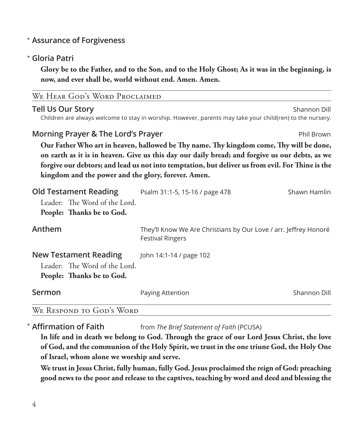### **Assurance of Forgiveness** \*

### **Gloria Patri** \*

 **Glory be to the Father, and to the Son, and to the Holy Ghost; As it was in the beginning, is now, and ever shall be, world without end. Amen. Amen.**

| WE HEAR GOD'S WORD PROCLAIMED                                                                                                                                                                                                                                                                                                                                                                            |                                                                                                           |              |  |  |
|----------------------------------------------------------------------------------------------------------------------------------------------------------------------------------------------------------------------------------------------------------------------------------------------------------------------------------------------------------------------------------------------------------|-----------------------------------------------------------------------------------------------------------|--------------|--|--|
| <b>Tell Us Our Story</b>                                                                                                                                                                                                                                                                                                                                                                                 | Children are always welcome to stay in worship. However, parents may take your child(ren) to the nursery. | Shannon Dill |  |  |
| Morning Prayer & The Lord's Prayer<br>Phil Brown<br>Our Father Who art in heaven, hallowed be Thy name. Thy kingdom come, Thy will be done,<br>on earth as it is in heaven. Give us this day our daily bread; and forgive us our debts, as we<br>forgive our debtors; and lead us not into temptation, but deliver us from evil. For Thine is the<br>kingdom and the power and the glory, forever. Amen. |                                                                                                           |              |  |  |
|                                                                                                                                                                                                                                                                                                                                                                                                          |                                                                                                           |              |  |  |
| Anthem                                                                                                                                                                                                                                                                                                                                                                                                   | They'll Know We Are Christians by Our Love / arr. Jeffrey Honoré<br><b>Festival Ringers</b>               |              |  |  |
| <b>New Testament Reading</b><br>Leader: The Word of the Lord.<br>People: Thanks be to God.                                                                                                                                                                                                                                                                                                               | John 14:1-14 / page 102                                                                                   |              |  |  |
| Sermon                                                                                                                                                                                                                                                                                                                                                                                                   | Paying Attention                                                                                          | Shannon Dill |  |  |
| WE RESPOND TO GOD'S WORD                                                                                                                                                                                                                                                                                                                                                                                 |                                                                                                           |              |  |  |

**Affirmation of Faith** from *The Brief Statement of Faith* (PCUSA) \* Affirmation of Faith

 **In life and in death we belong to God. Through the grace of our Lord Jesus Christ, the love of God, and the communion of the Holy Spirit, we trust in the one triune God, the Holy One of Israel, whom alone we worship and serve.**

 **We trust in Jesus Christ, fully human, fully God. Jesus proclaimed the reign of God: preaching good news to the poor and release to the captives, teaching by word and deed and blessing the**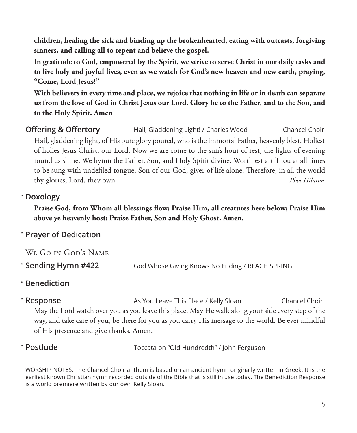**children, healing the sick and binding up the brokenhearted, eating with outcasts, forgiving sinners, and calling all to repent and believe the gospel.**

 **In gratitude to God, empowered by the Spirit, we strive to serve Christ in our daily tasks and to live holy and joyful lives, even as we watch for God's new heaven and new earth, praying, "Come, Lord Jesus!"**

 **With believers in every time and place, we rejoice that nothing in life or in death can separate us from the love of God in Christ Jesus our Lord. Glory be to the Father, and to the Son, and to the Holy Spirit. Amen**

**Offering & Offertory** Hail, Gladdening Light! / Charles Wood Chancel Choir Hail, gladdening light, of His pure glory poured, who is the immortal Father, heavenly blest. Holiest of holies Jesus Christ, our Lord. Now we are come to the sun's hour of rest, the lights of evening round us shine. We hymn the Father, Son, and Holy Spirit divine. Worthiest art Thou at all times to be sung with undefiled tongue, Son of our God, giver of life alone. Therefore, in all the world thy glories, Lord, they own. *Phos Hilaron*

### **Doxology** \*

 **Praise God, from Whom all blessings flow; Praise Him, all creatures here below; Praise Him above ye heavenly host; Praise Father, Son and Holy Ghost. Amen.**

### **Prayer of Dedication** \*

| WE GO IN GOD'S NAME |                                                 |
|---------------------|-------------------------------------------------|
| * Sending Hymn #422 | God Whose Giving Knows No Ending / BEACH SPRING |

## **Benediction** \*

\* Response

**Response** As You Leave This Place / Kelly Sloan Chancel Choir May the Lord watch over you as you leave this place. May He walk along your side every step of the way, and take care of you, be there for you as you carry His message to the world. Be ever mindful of His presence and give thanks. Amen.

### \* Postlude

**Postlude** Toccata on "Old Hundredth" / John Ferguson

WORSHIP NOTES: The Chancel Choir anthem is based on an ancient hymn originally written in Greek. It is the earliest known Christian hymn recorded outside of the Bible that is still in use today. The Benediction Response is a world premiere written by our own Kelly Sloan.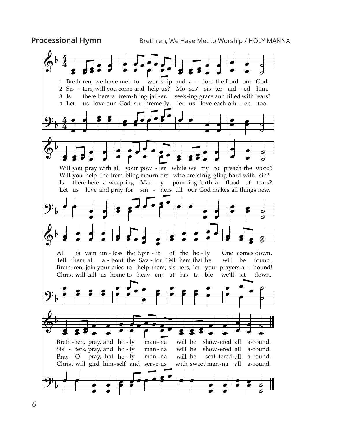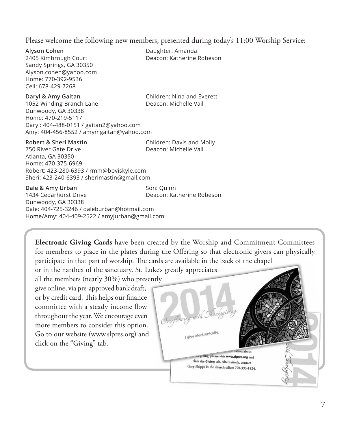Please welcome the following new members, presented during today's 11:00 Worship Service:

**Alyson Cohen** Daughter: Amanda Sandy Springs, GA 30350 Alyson.cohen@yahoo.com Home: 770-392-9536 Cell: 678-429-7268

2405 Kimbrough Court Deacon: Katherine Robeson

**Daryl & Amy Gaitan** Children: Nina and Everett 1052 Winding Branch Lane Deacon: Michelle Vail Dunwoody, GA 30338 Home: 470-219-5117 Daryl: 404-488-0151 / gaitan2@yahoo.com Amy: 404-456-8552 / amymgaitan@yahoo.com

**Robert & Sheri Mastin** Children: Davis and Molly

750 River Gate Drive Deacon: Michelle Vail Atlanta, GA 30350 Home: 470-375-6969 Robert: 423-280-6393 / rmm@boviskyle.com Sheri: 423-240-6393 / sherimastin@gmail.com

**Dale & Amy Urban** Son: Quinn

1434 Cedarhurst Drive Deacon: Katherine Robeson Dunwoody, GA 30338 Dale: 404-725-3246 / daleburban@hotmail.com Home/Amy: 404-409-2522 / amyjurban@gmail.com

**Electronic Giving Cards** have been created by the Worship and Commitment Committees for members to place in the plates during the Offering so that electronic givers can physically participate in that part of worship. The cards are available in the back of the chapel

or in the narthex of the sanctuary. St. Luke's greatly appreciates

all the members (nearly 30%) who presently give online, via pre-approved bank draft, or by credit card. This helps our finance committee with a steady income flow throughout the year. We encourage even more members to consider this option. Go to our website (www.slpres.org) and click on the "Giving" tab.

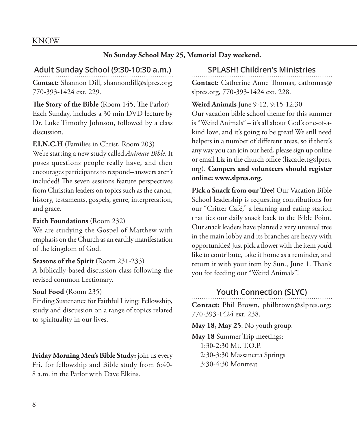### KNOW

#### **No Sunday School May 25, Memorial Day weekend.**

### **Adult Sunday School (9:30-10:30 a.m.)**

**Contact:** Shannon Dill, shannondill@slpres.org; 770-393-1424 ext. 229.

**The Story of the Bible** (Room 145, The Parlor) Each Sunday, includes a 30 min DVD lecture by Dr. Luke Timothy Johnson, followed by a class discussion.

**F.I.N.C.H** (Families in Christ, Room 203)

We're starting a new study called *Animate Bible*. It poses questions people really have, and then encourages participants to respond–answers aren't included! The seven sessions feature perspectives from Christian leaders on topics such as the canon, history, testaments, gospels, genre, interpretation, and grace.

#### **Faith Foundations** (Room 232)

We are studying the Gospel of Matthew with emphasis on the Church as an earthly manifestation of the kingdom of God.

#### **Seasons of the Spirit** (Room 231-233)

A biblically-based discussion class following the revised common Lectionary.

#### **Soul Food** (Room 235)

Finding Sustenance for Faithful Living: Fellowship, study and discussion on a range of topics related to spirituality in our lives.

**Friday Morning Men's Bible Study:** join us every Fri. for fellowship and Bible study from 6:40- 8 a.m. in the Parlor with Dave Elkins.

#### **SPLASH! Children's Ministries**

**Contact:** Catherine Anne Thomas, cathomas@ slpres.org, 770-393-1424 ext. 228.

#### **Weird Animals** June 9-12, 9:15-12:30

Our vacation bible school theme for this summer is "Weird Animals" – it's all about God's one-of-akind love, and it's going to be great! We still need helpers in a number of different areas, so if there's any way you can join our herd, please sign up online or email Liz in the church office (lizcatlett@slpres. org). **Campers and volunteers should register online: www.slpres.org.**

**Pick a Snack from our Tree!** Our Vacation Bible School leadership is requesting contributions for our "Critter Café," a learning and eating station that ties our daily snack back to the Bible Point. Our snack leaders have planted a very unusual tree in the main lobby and its branches are heavy with opportunities! Just pick a flower with the item you'd like to contribute, take it home as a reminder, and return it with your item by Sun., June 1. Thank you for feeding our "Weird Animals"!

### **Youth Connection (SLYC)**

**Contact:** Phil Brown, philbrown@slpres.org; 770-393-1424 ext. 238.

**May 18, May 25**: No youth group.

**May 18** Summer Trip meetings: 1:30-2:30 Mt. T.O.P. 2:30-3:30 Massanetta Springs 3:30-4:30 Montreat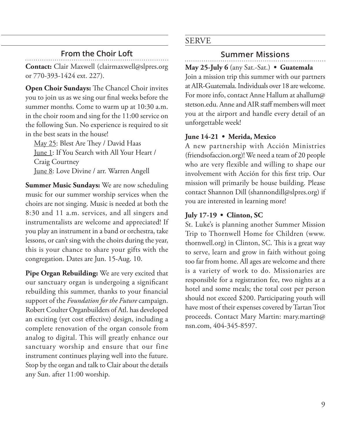### **From the Choir Loft**

**Contact:** Clair Maxwell (clairmaxwell@slpres.org or 770-393-1424 ext. 227).

**Open Choir Sundays:** The Chancel Choir invites you to join us as we sing our final weeks before the summer months. Come to warm up at 10:30 a.m. in the choir room and sing for the 11:00 service on the following Sun. No experience is required to sit in the best seats in the house!

May 25: Blest Are They / David Haas June 1: If You Search with All Your Heart / Craig Courtney June 8: Love Divine / arr. Warren Angell

**Summer Music Sundays:** We are now scheduling music for our summer worship services when the choirs are not singing. Music is needed at both the 8:30 and 11 a.m. services, and all singers and instrumentalists are welcome and appreciated! If you play an instrument in a band or orchestra, take lessons, or can't sing with the choirs during the year, this is your chance to share your gifts with the congregation. Dates are Jun. 15-Aug. 10.

**Pipe Organ Rebuilding:** We are very excited that our sanctuary organ is undergoing a significant rebuilding this summer, thanks to your financial support of the *Foundation for the Future* campaign. Robert Coulter Organbuilders of Atl. has developed an exciting (yet cost effective) design, including a complete renovation of the organ console from analog to digital. This will greatly enhance our sanctuary worship and ensure that our fine instrument continues playing well into the future. Stop by the organ and talk to Clair about the details any Sun. after 11:00 worship.

### SERVE

### **Summer Missions**

**May 25-July 6** (any Sat.-Sat.) **• Guatemala** Join a mission trip this summer with our partners at AIR-Guatemala. Individuals over 18 are welcome. For more info, contact Anne Hallum at ahallum@ stetson.edu. Anne and AIR staff members will meet you at the airport and handle every detail of an unforgettable week!

### **June 14-21 • Merida, Mexico**

A new partnership with Acción Ministries (friendsofaccion.org)! We need a team of 20 people who are very flexible and willing to shape our involvement with Acción for this first trip. Our mission will primarily be house building. Please contact Shannon Dill (shannondill@slpres.org) if you are interested in learning more!

### **July 17-19 • Clinton, SC**

St. Luke's is planning another Summer Mission Trip to Thornwell Home for Children (www. thornwell.org) in Clinton, SC. This is a great way to serve, learn and grow in faith without going too far from home. All ages are welcome and there is a variety of work to do. Missionaries are responsible for a registration fee, two nights at a hotel and some meals; the total cost per person should not exceed \$200. Participating youth will have most of their expenses covered by Tartan Trot proceeds. Contact Mary Martin: mary.martin@ nsn.com, 404-345-8597.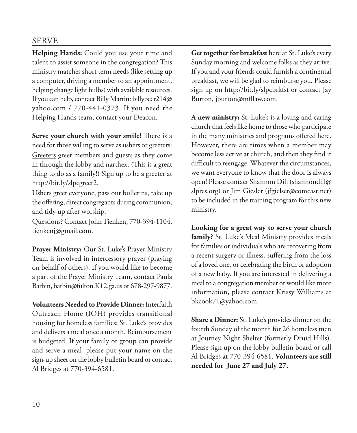### SERVE

**Helping Hands:** Could you use your time and talent to assist someone in the congregation? This ministry matches short term needs (like setting up a computer, driving a member to an appointment, helping change light bulbs) with available resources. If you can help, contact Billy Martin: billybeer214@ yahoo.com / 770-441-0373. If you need the Helping Hands team, contact your Deacon.

**Serve your church with your smile!** There is a need for those willing to serve as ushers or greeters: Greeters greet members and guests as they come in through the lobby and narthex. (This is a great thing to do as a family!) Sign up to be a greeter at http://bit.ly/slpcgreet2.

Ushers greet everyone, pass out bulletins, take up the offering, direct congregants during communion, and tidy up after worship.

Questions? Contact John Tienken, 770-394-1104, tienkenj@gmail.com.

**Prayer Ministry:** Our St. Luke's Prayer Ministry Team is involved in intercessory prayer (praying on behalf of others). If you would like to become a part of the Prayer Ministry Team, contact Paula Barbin, barbin@fulton.K12.ga.us or 678-297-9877.

**Volunteers Needed to Provide Dinner:** Interfaith Outreach Home (IOH) provides transitional housing for homeless families; St. Luke's provides and delivers a meal once a month. Reimbursement is budgeted. If your family or group can provide and serve a meal, please put your name on the sign-up sheet on the lobby bulletin board or contact Al Bridges at 770-394-6581.

**Get together for breakfast** here at St. Luke's every Sunday morning and welcome folks as they arrive. If you and your friends could furnish a continental breakfast, we will be glad to reimburse you. Please sign up on http://bit.ly/slpcbrkfst or contact Jay Burton, jburton@mfllaw.com.

**A new ministry:** St. Luke's is a loving and caring church that feels like home to those who participate in the many ministries and programs offered here. However, there are times when a member may become less active at church, and then they find it difficult to reengage. Whatever the circumstances, we want everyone to know that the door is always open! Please contact Shannon Dill (shannondill@ slpres.org) or Jim Giesler (jfgielser@comcast.net) to be included in the training program for this new ministry.

**Looking for a great way to serve your church family?** St. Luke's Meal Ministry provides meals for families or individuals who are recovering from a recent surgery or illness, suffering from the loss of a loved one, or celebrating the birth or adoption of a new baby. If you are interested in delivering a meal to a congregation member or would like more information, please contact Krissy Williams at bkcook71@yahoo.com.

**Share a Dinner:** St. Luke's provides dinner on the fourth Sunday of the month for 26 homeless men at Journey Night Shelter (formerly Druid Hills). Please sign up on the lobby bulletin board or call Al Bridges at 770-394-6581. **Volunteers are still needed for June 27 and July 27.**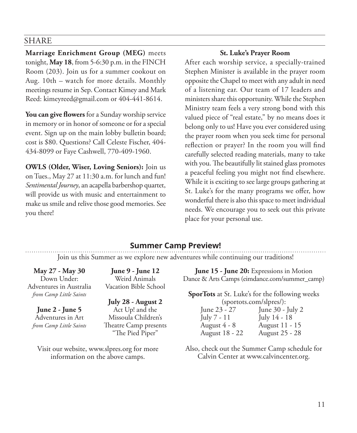#### SHARE

**Marriage Enrichment Group (MEG)** meets tonight, **May 18**, from 5-6:30 p.m. in the FINCH Room (203). Join us for a summer cookout on Aug. 10th – watch for more details. Monthly meetings resume in Sep. Contact Kimey and Mark Reed: kimeyreed@gmail.com or 404-441-8614.

**You can give flowers** for a Sunday worship service in memory or in honor of someone or for a special event. Sign up on the main lobby bulletin board; cost is \$80. Questions? Call Celeste Fischer, 404- 434-8099 or Faye Cashwell, 770-409-1960.

**OWLS (Older, Wiser, Loving Seniors):** Join us on Tues., May 27 at 11:30 a.m. for lunch and fun! *Sentimental Journey*, an acapella barbershop quartet, will provide us with music and entertainment to make us smile and relive those good memories. See you there!

#### **St. Luke's Prayer Room**

After each worship service, a specially-trained Stephen Minister is available in the prayer room opposite the Chapel to meet with any adult in need of a listening ear. Our team of 17 leaders and ministers share this opportunity. While the Stephen Ministry team feels a very strong bond with this valued piece of "real estate," by no means does it belong only to us! Have you ever considered using the prayer room when you seek time for personal reflection or prayer? In the room you will find carefully selected reading materials, many to take with you. The beautifully lit stained glass promotes a peaceful feeling you might not find elsewhere. While it is exciting to see large groups gathering at St. Luke's for the many programs we offer, how wonderful there is also this space to meet individual needs. We encourage you to seek out this private place for your personal use.

### **Summer Camp Preview!**

Join us this Summer as we explore new adventures while continuing our traditions!

**May 27 - May 30**  Down Under: Adventures in Australia *from Camp Little Saints*

**June 2 - June 5**  Adventures in Art *from Camp Little Saints*

**June 9 - June 12**  Weird Animals Vacation Bible School

**July 28 - August 2**  Act Up! and the Missoula Children's Theatre Camp presents "The Pied Piper"

Visit our website, www.slpres.org for more information on the above camps.

**June 15 - June 20:** Expressions in Motion Dance & Arts Camps (eimdance.com/summer\_camp)

**SporTots** at St. Luke's for the following weeks (sportots.com/slpres):<br>= 10 - 21 - 10 - 10 - 10 - 10 - $I$ une 30 -  $I$ uly 2

| $\mu$ me $\sigma$ $\mu$ |
|-------------------------|
| July 14 - 18            |
| August 11 - 15          |
| August 25 - 28          |
|                         |

Also, check out the Summer Camp schedule for Calvin Center at www.calvincenter.org.